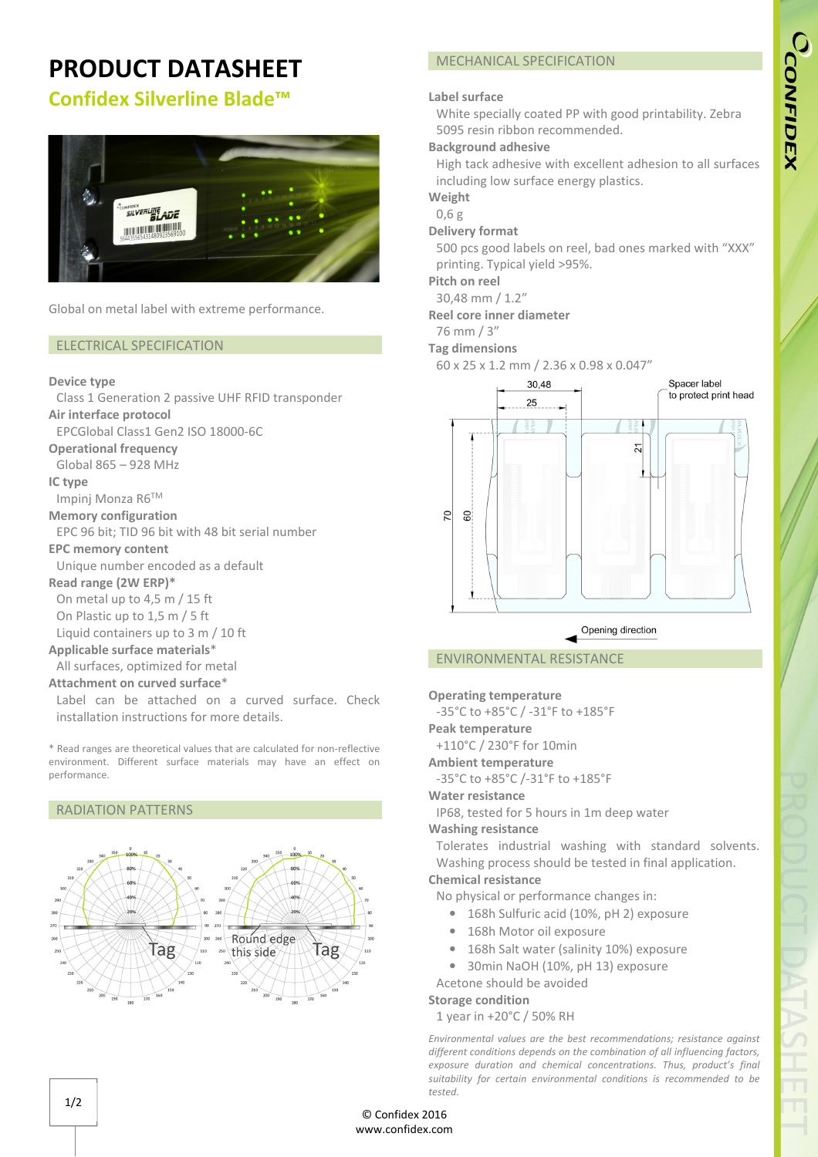# CCONFIDEX

## **PRODUCT DATASHEET**

## **Confidex Silverline Blade™**



Global on metal label with extreme performance.

### ELECTRICAL SPECIFICATION

### **Device type**

Class 1 Generation 2 passive UHF RFID transponder **Air interface protocol**  EPCGlobal Class1 Gen2 ISO 18000-6C

**Operational frequency**

Global 865 – 928 MHz

**IC type** 

Impinj Monza R6TM

**Memory configuration** 

EPC 96 bit; TID 96 bit with 48 bit serial number

### **EPC memory content**

Unique number encoded as a default

### **Read range (2W ERP)\***

On metal up to 4,5 m / 15 ft On Plastic up to 1,5 m / 5 ft

Liquid containers up to 3 m / 10 ft

### **Applicable surface materials**\*

All surfaces, optimized for metal

### **Attachment on curved surface**\*

Label can be attached on a curved surface. Check installation instructions for more details.

\* Read ranges are theoretical values that are calculated for non-reflective environment. Different surface materials may have an effect on performance.

### RADIATION PATTERNS



### MECHANICAL SPECIFICATION

### **Label surface**

White specially coated PP with good printability. Zebra 5095 resin ribbon recommended.

### **Background adhesive**

High tack adhesive with excellent adhesion to all surfaces including low surface energy plastics.

### **Weight**

0,6 g

### **Delivery format**

500 pcs good labels on reel, bad ones marked with "XXX" printing. Typical yield >95%.

### **Pitch on reel**

30,48 mm / 1.2"

### **Reel core inner diameter**

76 mm / 3"

### **Tag dimensions**

60 x 25 x 1.2 mm / 2.36 x 0.98 x 0.047"



### ENVIRONMENTAL RESISTANCE

### **Operating temperature**

-35°C to +85°C / -31°F to +185°F

**Peak temperature**

+110°C / 230°F for 10min

**Ambient temperature**

-35°C to +85°C /-31°F to +185°F

### **Water resistance**

IP68, tested for 5 hours in 1m deep water

### **Washing resistance**

Tolerates industrial washing with standard solvents. Washing process should be tested in final application. **Chemical resistance**

No physical or performance changes in:

- 168h Sulfuric acid (10%, pH 2) exposure
- 168h Motor oil exposure
- 168h Salt water (salinity 10%) exposure
- 30min NaOH (10%, pH 13) exposure

### Acetone should be avoided **Storage condition**

1 year in +20°C / 50% RH

*Environmental values are the best recommendations; resistance against different conditions depends on the combination of all influencing factors, exposure duration and chemical concentrations. Thus, product's final suitability for certain environmental conditions is recommended to be tested.* 

© Confidex 2016 www.confidex.com